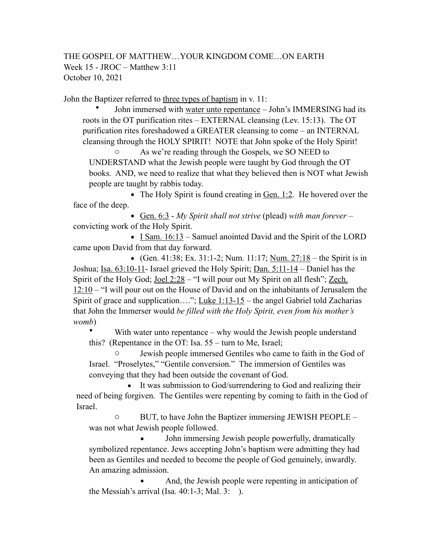## THE GOSPEL OF MATTHEW…YOUR KINGDOM COME…ON EARTH Week 15 - JROC – Matthew 3:11 October 10, 2021

John the Baptizer referred to three types of baptism in v. 11:

• John immersed with water unto repentance – John's IMMERSING had its roots in the OT purification rites – EXTERNAL cleansing (Lev. 15:13). The OT purification rites foreshadowed a GREATER cleansing to come – an INTERNAL cleansing through the HOLY SPIRIT! NOTE that John spoke of the Holy Spirit!

o As we're reading through the Gospels, we SO NEED to UNDERSTAND what the Jewish people were taught by God through the OT books. AND, we need to realize that what they believed then is NOT what Jewish people are taught by rabbis today.

 $\blacksquare$  The Holy Spirit is found creating in <u>Gen. 1:2</u>. He hovered over the face of the deep.

■ Gen. 6:3 - *My Spirit shall not strive* (plead) with man forever – convicting work of the Holy Spirit.

**I** Sam.  $16:13$  – Samuel anointed David and the Spirit of the LORD came upon David from that day forward.

• (Gen. 41:38; Ex. 31:1-2; Num. 11:17; Num.  $27:18$  – the Spirit is in Joshua; Isa. 63:10-11- Israel grieved the Holy Spirit; Dan. 5:11-14 – Daniel has the Spirit of the Holy God; <u>Joel 2:28</u> – "I will pour out My Spirit on all flesh"; <u>Zech.</u>  $12:10$  – "I will pour out on the House of David and on the inhabitants of Jerusalem the Spirit of grace and supplication…."; Luke  $1:13-15$  – the angel Gabriel told Zacharias that John the Immerser would *be filled with the Holy Spirit, even from his mother's womb*)

• With water unto repentance – why would the Jewish people understand this? (Repentance in the OT: Isa. 55 – turn to Me, Israel;

Jewish people immersed Gentiles who came to faith in the God of Israel. "Proselytes," "Gentile conversion." The immersion of Gentiles was conveying that they had been outside the covenant of God.

**It was submission to God/surrendering to God and realizing their** need of being forgiven. The Gentiles were repenting by coming to faith in the God of Israel.

o BUT, to have John the Baptizer immersing JEWISH PEOPLE – was not what Jewish people followed.

John immersing Jewish people powerfully, dramatically symbolized repentance. Jews accepting John's baptism were admitting they had been as Gentiles and needed to become the people of God genuinely, inwardly. An amazing admission.

And, the Jewish people were repenting in anticipation of the Messiah's arrival (Isa.  $40:1-3$ ; Mal. 3: ).